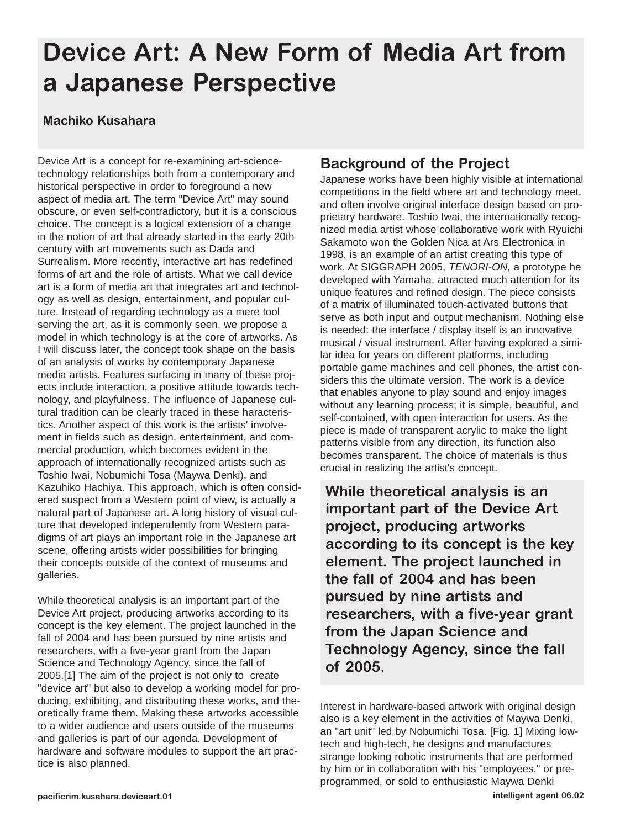# **Device Art: A New Form of Media Art from a Japanese Perspective**

#### **Machiko Kusahara**

Device Art is a concept for re-examining art-sciencetechnology relationships both from a contemporary and historical perspective in order to foreground a new aspect of media art. The term "Device Art" may sound obscure, or even self-contradictory, but it is a conscious choice. The concept is a logical extension of a change in the notion of art that already started in the early 20th century with art movements such as Dada and Surrealism. More recently, interactive art has redefined forms of art and the role of artists. What we call device art is a form of media art that integrates art and technology as well as design, entertainment, and popular culture. Instead of regarding technology as a mere tool serving the art, as it is commonly seen, we propose a model in which technology is at the core of artworks. As I will discuss later, the concept took shape on the basis of an analysis of works by contemporary Japanese media artists. Features surfacing in many of these projects include interaction, a positive attitude towards technology, and playfulness. The influence of Japanese cultural tradition can be clearly traced in these haracteristics. Another aspect of this work is the artists' involvement in fields such as design, entertainment, and commercial production, which becomes evident in the approach of internationally recognized artists such as Toshio Iwai, Nobumichi Tosa (Maywa Denki), and Kazuhiko Hachiya. This approach, which is often considered suspect from a Western point of view, is actually a natural part of Japanese art. A long history of visual culture that developed independently from Western paradigms of art plays an important role in the Japanese art scene, offering artists wider possibilities for bringing their concepts outside of the context of museums and galleries.

While theoretical analysis is an important part of the Device Art project, producing artworks according to its concept is the key element. The project launched in the fall of 2004 and has been pursued by nine artists and researchers, with a five-year grant from the Japan Science and Technology Agency, since the fall of 2005.[1] The aim of the project is not only to create "device art" but also to develop a working model for producing, exhibiting, and distributing these works, and theoretically frame them. Making these artworks accessible to a wider audience and users outside of the museums and galleries is part of our agenda. Development of hardware and software modules to support the art practice is also planned.

## **Background of the Project**

Japanese works have been highly visible at international competitions in the field where art and technology meet, and often involve original interface design based on proprietary hardware. Toshio Iwai, the internationally recognized media artist whose collaborative work with Ryuichi Sakamoto won the Golden Nica at Ars Electronica in 1998, is an example of an artist creating this type of work. At SIGGRAPH 2005, *TENORI-ON*, a prototype he developed with Yamaha, attracted much attention for its unique features and refined design. The piece consists of a matrix of illuminated touch-activated buttons that serve as both input and output mechanism. Nothing else is needed: the interface / display itself is an innovative musical / visual instrument. After having explored a similar idea for years on different platforms, including portable game machines and cell phones, the artist considers this the ultimate version. The work is a device that enables anyone to play sound and enjoy images without any learning process; it is simple, beautiful, and self-contained, with open interaction for users. As the piece is made of transparent acrylic to make the light patterns visible from any direction, its function also becomes transparent. The choice of materials is thus crucial in realizing the artist's concept.

**While theoretical analysis is an important part of the Device Art project, producing artworks according to its concept is the key element. The project launched in the fall of 2004 and has been pursued by nine artists and researchers, with a five-year grant from the Japan Science and Technology Agency, since the fall of 2005.**

Interest in hardware-based artwork with original design also is a key element in the activities of Maywa Denki, an "art unit" led by Nobumichi Tosa. [Fig. 1] Mixing lowtech and high-tech, he designs and manufactures strange looking robotic instruments that are performed by him or in collaboration with his "employees," or preprogrammed, or sold to enthusiastic Maywa Denki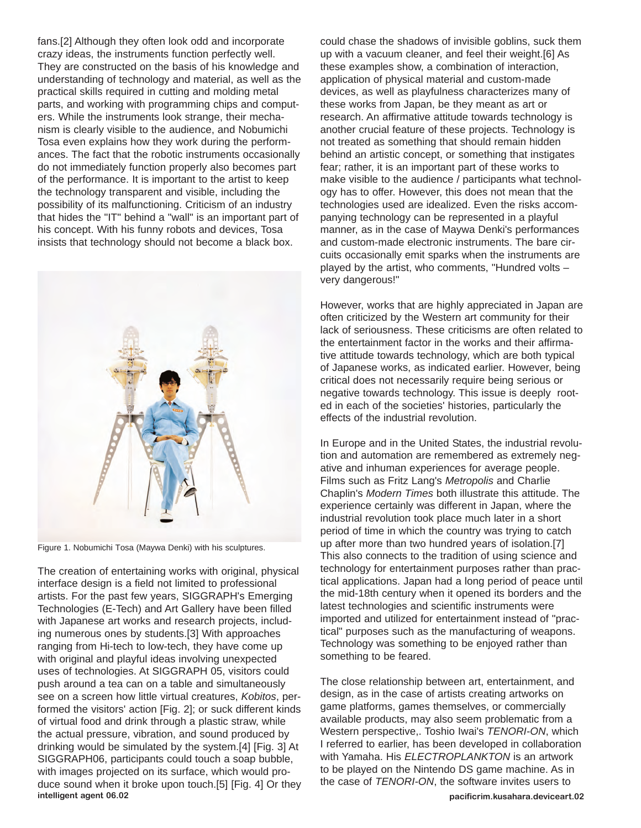fans.[2] Although they often look odd and incorporate crazy ideas, the instruments function perfectly well. They are constructed on the basis of his knowledge and understanding of technology and material, as well as the practical skills required in cutting and molding metal parts, and working with programming chips and computers. While the instruments look strange, their mechanism is clearly visible to the audience, and Nobumichi Tosa even explains how they work during the performances. The fact that the robotic instruments occasionally do not immediately function properly also becomes part of the performance. It is important to the artist to keep the technology transparent and visible, including the possibility of its malfunctioning. Criticism of an industry that hides the "IT" behind a "wall" is an important part of his concept. With his funny robots and devices, Tosa insists that technology should not become a black box.



Figure 1. Nobumichi Tosa (Maywa Denki) with his sculptures.

The creation of entertaining works with original, physical interface design is a field not limited to professional artists. For the past few years, SIGGRAPH's Emerging Technologies (E-Tech) and Art Gallery have been filled with Japanese art works and research projects, including numerous ones by students.[3] With approaches ranging from Hi-tech to low-tech, they have come up with original and playful ideas involving unexpected uses of technologies. At SIGGRAPH 05, visitors could push around a tea can on a table and simultaneously see on a screen how little virtual creatures, *Kobitos*, performed the visitors' action [Fig. 2]; or suck different kinds of virtual food and drink through a plastic straw, while the actual pressure, vibration, and sound produced by drinking would be simulated by the system.[4] [Fig. 3] At SIGGRAPH06, participants could touch a soap bubble, with images projected on its surface, which would produce sound when it broke upon touch.[5] [Fig. 4] Or they **intelligent agent 06.02 pacificrim.kusahara.deviceart.02**

could chase the shadows of invisible goblins, suck them up with a vacuum cleaner, and feel their weight.[6] As these examples show, a combination of interaction, application of physical material and custom-made devices, as well as playfulness characterizes many of these works from Japan, be they meant as art or research. An affirmative attitude towards technology is another crucial feature of these projects. Technology is not treated as something that should remain hidden behind an artistic concept, or something that instigates fear; rather, it is an important part of these works to make visible to the audience / participants what technology has to offer. However, this does not mean that the technologies used are idealized. Even the risks accompanying technology can be represented in a playful manner, as in the case of Maywa Denki's performances and custom-made electronic instruments. The bare circuits occasionally emit sparks when the instruments are played by the artist, who comments, "Hundred volts – very dangerous!"

However, works that are highly appreciated in Japan are often criticized by the Western art community for their lack of seriousness. These criticisms are often related to the entertainment factor in the works and their affirmative attitude towards technology, which are both typical of Japanese works, as indicated earlier. However, being critical does not necessarily require being serious or negative towards technology. This issue is deeply rooted in each of the societies' histories, particularly the effects of the industrial revolution.

In Europe and in the United States, the industrial revolution and automation are remembered as extremely negative and inhuman experiences for average people. Films such as Fritz Lang's *Metropolis* and Charlie Chaplin's *Modern Times* both illustrate this attitude. The experience certainly was different in Japan, where the industrial revolution took place much later in a short period of time in which the country was trying to catch up after more than two hundred years of isolation.[7] This also connects to the tradition of using science and technology for entertainment purposes rather than practical applications. Japan had a long period of peace until the mid-18th century when it opened its borders and the latest technologies and scientific instruments were imported and utilized for entertainment instead of "practical" purposes such as the manufacturing of weapons. Technology was something to be enjoyed rather than something to be feared.

The close relationship between art, entertainment, and design, as in the case of artists creating artworks on game platforms, games themselves, or commercially available products, may also seem problematic from a Western perspective,. Toshio Iwai's *TENORI-ON*, which I referred to earlier, has been developed in collaboration with Yamaha. His *ELECTROPLANKTON* is an artwork to be played on the Nintendo DS game machine. As in the case of *TENORI-ON*, the software invites users to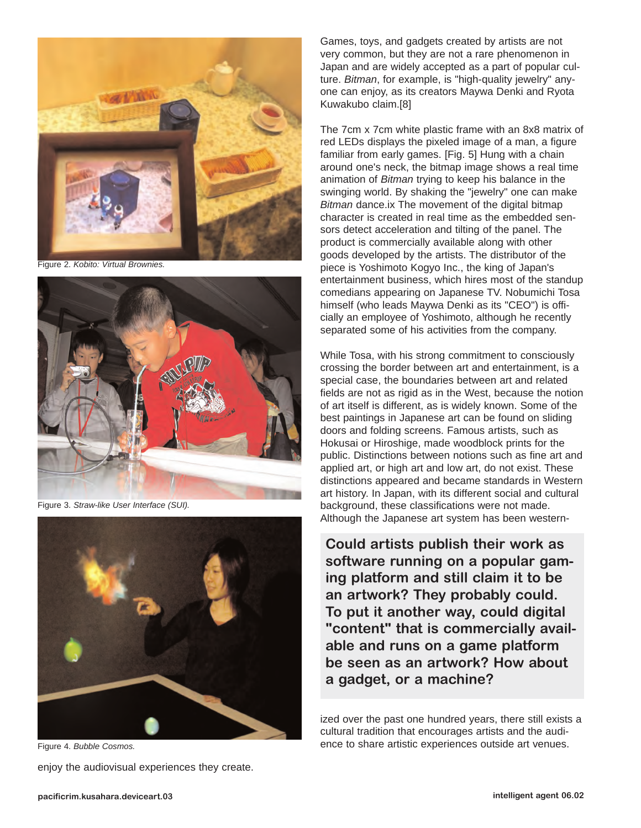

Figure 2. *Kobito: Virtual Brownies.*



Figure 3. *Straw-like User Interface (SUI).*



Figure 4. *Bubble Cosmos.*

enjoy the audiovisual experiences they create.

Games, toys, and gadgets created by artists are not very common, but they are not a rare phenomenon in Japan and are widely accepted as a part of popular culture. *Bitman*, for example, is "high-quality jewelry" anyone can enjoy, as its creators Maywa Denki and Ryota Kuwakubo claim.[8]

The 7cm x 7cm white plastic frame with an 8x8 matrix of red LEDs displays the pixeled image of a man, a figure familiar from early games. [Fig. 5] Hung with a chain around one's neck, the bitmap image shows a real time animation of *Bitman* trying to keep his balance in the swinging world. By shaking the "jewelry" one can make *Bitman* dance.ix The movement of the digital bitmap character is created in real time as the embedded sensors detect acceleration and tilting of the panel. The product is commercially available along with other goods developed by the artists. The distributor of the piece is Yoshimoto Kogyo Inc., the king of Japan's entertainment business, which hires most of the standup comedians appearing on Japanese TV. Nobumichi Tosa himself (who leads Maywa Denki as its "CEO") is officially an employee of Yoshimoto, although he recently separated some of his activities from the company.

While Tosa, with his strong commitment to consciously crossing the border between art and entertainment, is a special case, the boundaries between art and related fields are not as rigid as in the West, because the notion of art itself is different, as is widely known. Some of the best paintings in Japanese art can be found on sliding doors and folding screens. Famous artists, such as Hokusai or Hiroshige, made woodblock prints for the public. Distinctions between notions such as fine art and applied art, or high art and low art, do not exist. These distinctions appeared and became standards in Western art history. In Japan, with its different social and cultural background, these classifications were not made. Although the Japanese art system has been western-

**Could artists publish their work as software running on a popular gaming platform and still claim it to be an artwork? They probably could. To put it another way, could digital "content" that is commercially available and runs on a game platform be seen as an artwork? How about a gadget, or a machine?** 

ized over the past one hundred years, there still exists a cultural tradition that encourages artists and the audience to share artistic experiences outside art venues.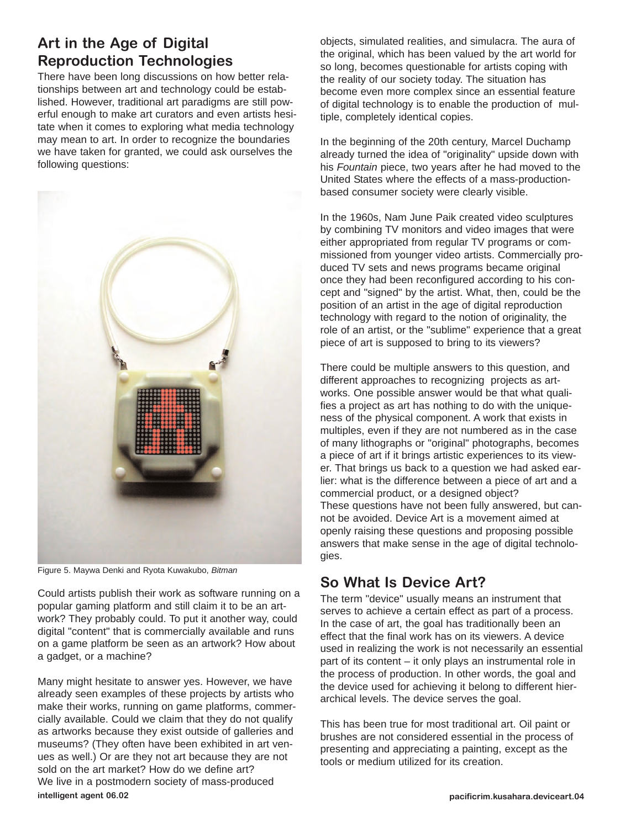## **Art in the Age of Digital Reproduction Technologies**

There have been long discussions on how better relationships between art and technology could be established. However, traditional art paradigms are still powerful enough to make art curators and even artists hesitate when it comes to exploring what media technology may mean to art. In order to recognize the boundaries we have taken for granted, we could ask ourselves the following questions:



Figure 5. Maywa Denki and Ryota Kuwakubo, *Bitman*

Could artists publish their work as software running on a popular gaming platform and still claim it to be an artwork? They probably could. To put it another way, could digital "content" that is commercially available and runs on a game platform be seen as an artwork? How about a gadget, or a machine?

Many might hesitate to answer yes. However, we have already seen examples of these projects by artists who make their works, running on game platforms, commercially available. Could we claim that they do not qualify as artworks because they exist outside of galleries and museums? (They often have been exhibited in art venues as well.) Or are they not art because they are not sold on the art market? How do we define art? We live in a postmodern society of mass-produced **intelligent agent 06.02 pacificrim.kusahara.deviceart.04**

objects, simulated realities, and simulacra. The aura of the original, which has been valued by the art world for so long, becomes questionable for artists coping with the reality of our society today. The situation has become even more complex since an essential feature of digital technology is to enable the production of multiple, completely identical copies.

In the beginning of the 20th century, Marcel Duchamp already turned the idea of "originality" upside down with his *Fountain* piece, two years after he had moved to the United States where the effects of a mass-productionbased consumer society were clearly visible.

In the 1960s, Nam June Paik created video sculptures by combining TV monitors and video images that were either appropriated from regular TV programs or commissioned from younger video artists. Commercially produced TV sets and news programs became original once they had been reconfigured according to his concept and "signed" by the artist. What, then, could be the position of an artist in the age of digital reproduction technology with regard to the notion of originality, the role of an artist, or the "sublime" experience that a great piece of art is supposed to bring to its viewers?

There could be multiple answers to this question, and different approaches to recognizing projects as artworks. One possible answer would be that what qualifies a project as art has nothing to do with the uniqueness of the physical component. A work that exists in multiples, even if they are not numbered as in the case of many lithographs or "original" photographs, becomes a piece of art if it brings artistic experiences to its viewer. That brings us back to a question we had asked earlier: what is the difference between a piece of art and a commercial product, or a designed object? These questions have not been fully answered, but cannot be avoided. Device Art is a movement aimed at openly raising these questions and proposing possible answers that make sense in the age of digital technologies.

### **So What Is Device Art?**

The term "device" usually means an instrument that serves to achieve a certain effect as part of a process. In the case of art, the goal has traditionally been an effect that the final work has on its viewers. A device used in realizing the work is not necessarily an essential part of its content – it only plays an instrumental role in the process of production. In other words, the goal and the device used for achieving it belong to different hierarchical levels. The device serves the goal.

This has been true for most traditional art. Oil paint or brushes are not considered essential in the process of presenting and appreciating a painting, except as the tools or medium utilized for its creation.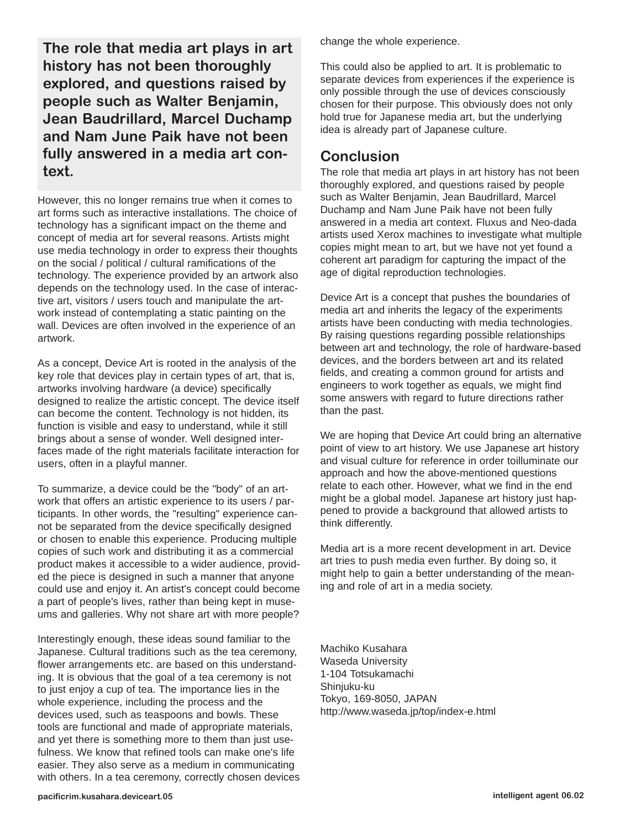**The role that media art plays in art history has not been thoroughly explored, and questions raised by people such as Walter Benjamin, Jean Baudrillard, Marcel Duchamp and Nam June Paik have not been fully answered in a media art context.**

However, this no longer remains true when it comes to art forms such as interactive installations. The choice of technology has a significant impact on the theme and concept of media art for several reasons. Artists might use media technology in order to express their thoughts on the social / political / cultural ramifications of the technology. The experience provided by an artwork also depends on the technology used. In the case of interactive art, visitors / users touch and manipulate the artwork instead of contemplating a static painting on the wall. Devices are often involved in the experience of an artwork.

As a concept, Device Art is rooted in the analysis of the key role that devices play in certain types of art, that is, artworks involving hardware (a device) specifically designed to realize the artistic concept. The device itself can become the content. Technology is not hidden, its function is visible and easy to understand, while it still brings about a sense of wonder. Well designed interfaces made of the right materials facilitate interaction for users, often in a playful manner.

To summarize, a device could be the "body" of an artwork that offers an artistic experience to its users / participants. In other words, the "resulting" experience cannot be separated from the device specifically designed or chosen to enable this experience. Producing multiple copies of such work and distributing it as a commercial product makes it accessible to a wider audience, provided the piece is designed in such a manner that anyone could use and enjoy it. An artist's concept could become a part of people's lives, rather than being kept in museums and galleries. Why not share art with more people?

Interestingly enough, these ideas sound familiar to the Japanese. Cultural traditions such as the tea ceremony, flower arrangements etc. are based on this understanding. It is obvious that the goal of a tea ceremony is not to just enjoy a cup of tea. The importance lies in the whole experience, including the process and the devices used, such as teaspoons and bowls. These tools are functional and made of appropriate materials, and yet there is something more to them than just usefulness. We know that refined tools can make one's life easier. They also serve as a medium in communicating with others. In a tea ceremony, correctly chosen devices change the whole experience.

This could also be applied to art. It is problematic to separate devices from experiences if the experience is only possible through the use of devices consciously chosen for their purpose. This obviously does not only hold true for Japanese media art, but the underlying idea is already part of Japanese culture.

#### **Conclusion**

The role that media art plays in art history has not been thoroughly explored, and questions raised by people such as Walter Benjamin, Jean Baudrillard, Marcel Duchamp and Nam June Paik have not been fully answered in a media art context. Fluxus and Neo-dada artists used Xerox machines to investigate what multiple copies might mean to art, but we have not yet found a coherent art paradigm for capturing the impact of the age of digital reproduction technologies.

Device Art is a concept that pushes the boundaries of media art and inherits the legacy of the experiments artists have been conducting with media technologies. By raising questions regarding possible relationships between art and technology, the role of hardware-based devices, and the borders between art and its related fields, and creating a common ground for artists and engineers to work together as equals, we might find some answers with regard to future directions rather than the past.

We are hoping that Device Art could bring an alternative point of view to art history. We use Japanese art history and visual culture for reference in order toilluminate our approach and how the above-mentioned questions relate to each other. However, what we find in the end might be a global model. Japanese art history just happened to provide a background that allowed artists to think differently.

Media art is a more recent development in art. Device art tries to push media even further. By doing so, it might help to gain a better understanding of the meaning and role of art in a media society.

Machiko Kusahara Waseda University 1-104 Totsukamachi Shinjuku-ku Tokyo, 169-8050, JAPAN http://www.waseda.jp/top/index-e.html